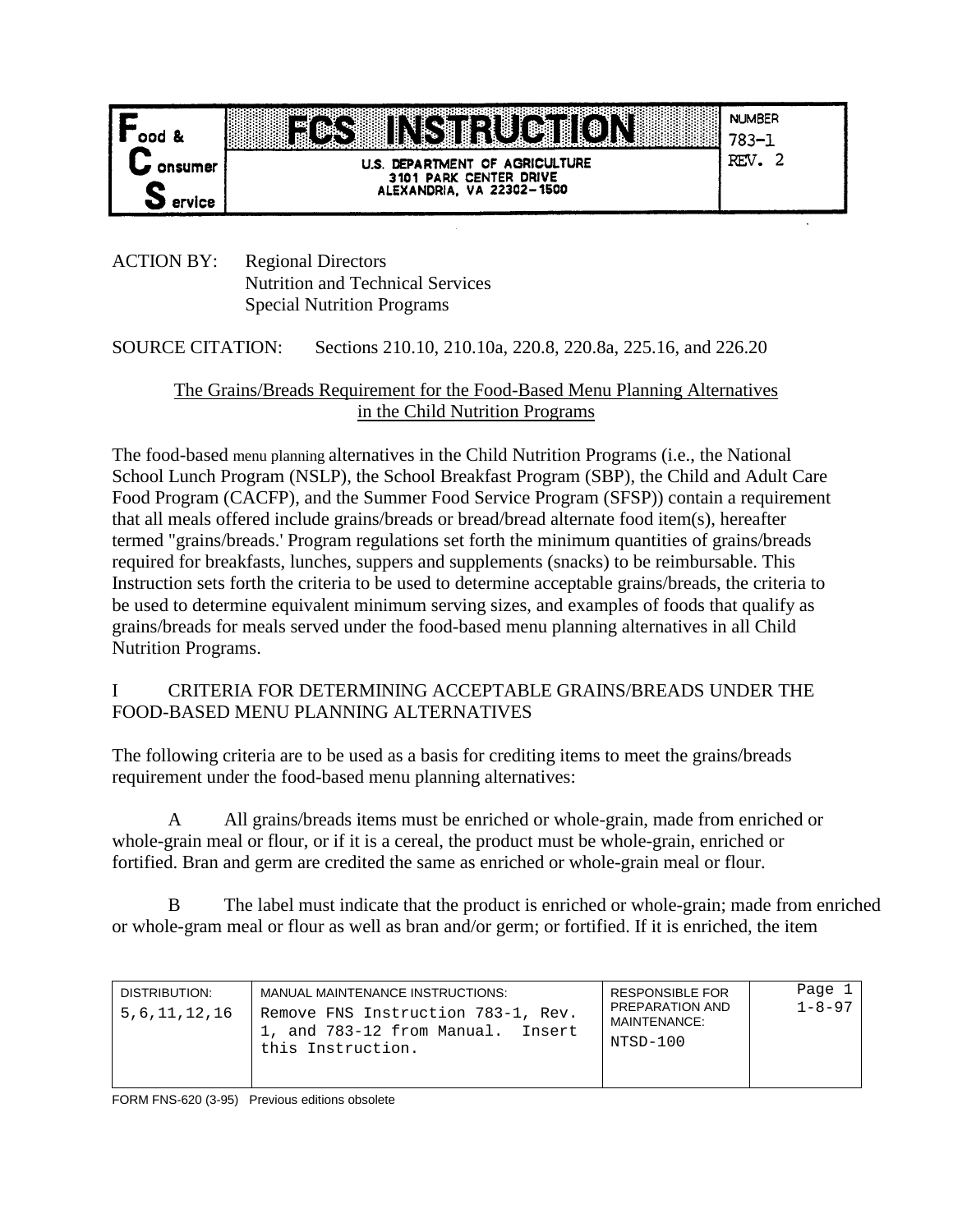

# **INSTRUCTION 1999**

**NUMBER** 783-1

U.S. DEPARTMENT OF AGRICULTURE 3101 PARK CENTER DRIVE<br>ALEXANDRIA, VA 22302-1500

 $REV. 2$ 

ACTION BY: Regional Directors Nutrition and Technical Services Special Nutrition Programs

SOURCE CITATION: Sections 210.10, 210.10a, 220.8, 220.8a, 225.16, and 226.20

# The Grains/Breads Requirement for the Food-Based Menu Planning Alternatives in the Child Nutrition Programs

The food-based menu planning alternatives in the Child Nutrition Programs (i.e., the National School Lunch Program (NSLP), the School Breakfast Program (SBP), the Child and Adult Care Food Program (CACFP), and the Summer Food Service Program (SFSP)) contain a requirement that all meals offered include grains/breads or bread/bread alternate food item(s), hereafter termed "grains/breads.' Program regulations set forth the minimum quantities of grains/breads required for breakfasts, lunches, suppers and supplements (snacks) to be reimbursable. This Instruction sets forth the criteria to be used to determine acceptable grains/breads, the criteria to be used to determine equivalent minimum serving sizes, and examples of foods that qualify as grains/breads for meals served under the food-based menu planning alternatives in all Child Nutrition Programs.

### I CRITERIA FOR DETERMINING ACCEPTABLE GRAINS/BREADS UNDER THE FOOD-BASED MENU PLANNING ALTERNATIVES

The following criteria are to be used as a basis for crediting items to meet the grains/breads requirement under the food-based menu planning alternatives:

A All grains/breads items must be enriched or whole-grain, made from enriched or whole-grain meal or flour, or if it is a cereal, the product must be whole-grain, enriched or fortified. Bran and germ are credited the same as enriched or whole-grain meal or flour.

B The label must indicate that the product is enriched or whole-grain; made from enriched or whole-gram meal or flour as well as bran and/or germ; or fortified. If it is enriched, the item

| DISTRIBUTION.<br>5,6,11,12,16 | MANUAL MAINTENANCE INSTRUCTIONS:<br>Remove FNS Instruction 783-1, Rev.<br>1, and 783-12 from Manual. Insert<br>this Instruction. | <b>RESPONSIBLE FOR</b><br>PREPARATION AND<br>MAINTENANCE:<br>NTSD-100 | Page 1<br>$1 - 8 - 97$ |
|-------------------------------|----------------------------------------------------------------------------------------------------------------------------------|-----------------------------------------------------------------------|------------------------|
|-------------------------------|----------------------------------------------------------------------------------------------------------------------------------|-----------------------------------------------------------------------|------------------------|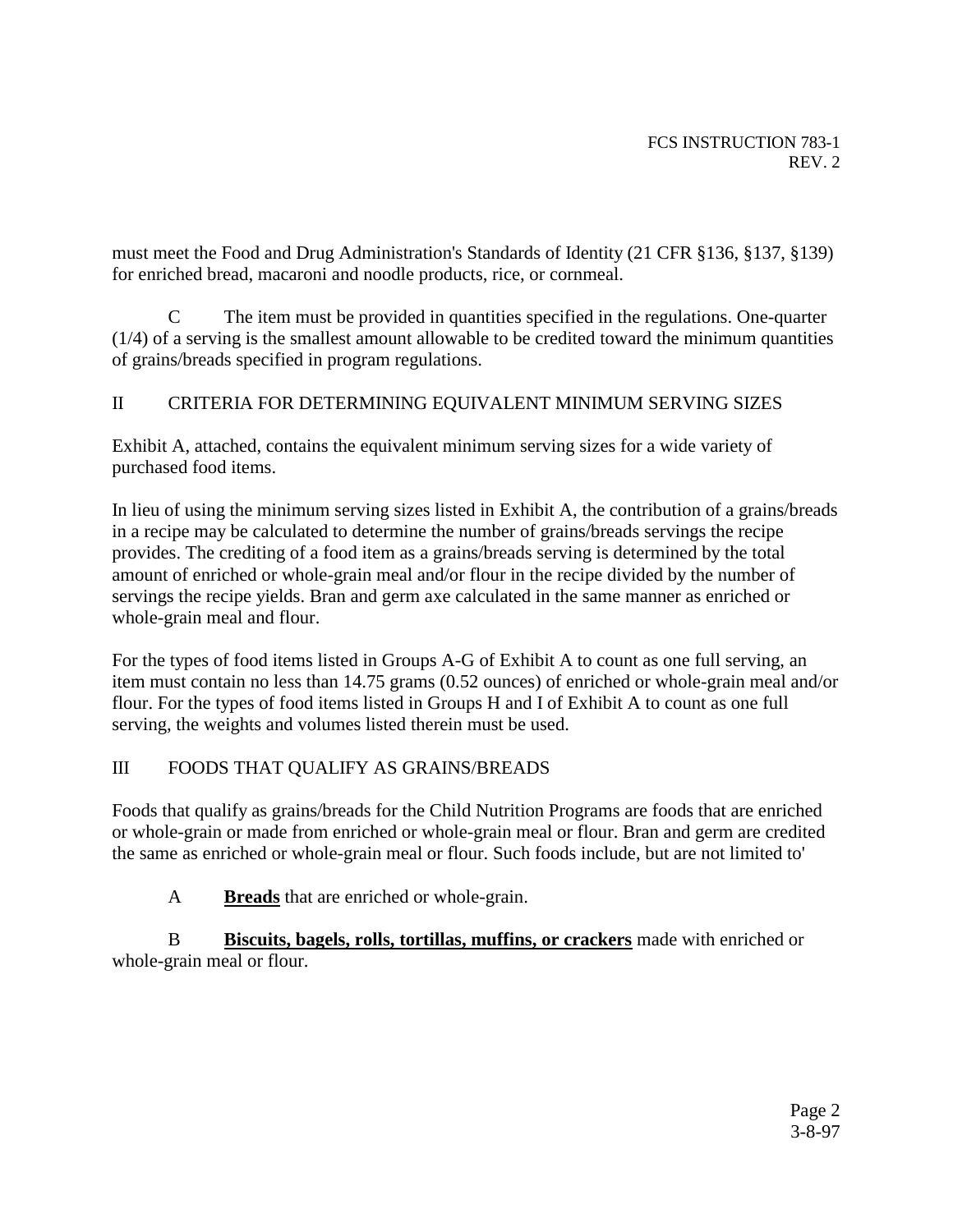must meet the Food and Drug Administration's Standards of Identity (21 CFR §136, §137, §139) for enriched bread, macaroni and noodle products, rice, or cornmeal.

C The item must be provided in quantities specified in the regulations. One-quarter (1/4) of a serving is the smallest amount allowable to be credited toward the minimum quantities of grains/breads specified in program regulations.

# II CRITERIA FOR DETERMINING EQUIVALENT MINIMUM SERVING SIZES

Exhibit A, attached, contains the equivalent minimum serving sizes for a wide variety of purchased food items.

In lieu of using the minimum serving sizes listed in Exhibit A, the contribution of a grains/breads in a recipe may be calculated to determine the number of grains/breads servings the recipe provides. The crediting of a food item as a grains/breads serving is determined by the total amount of enriched or whole-grain meal and/or flour in the recipe divided by the number of servings the recipe yields. Bran and germ axe calculated in the same manner as enriched or whole-grain meal and flour.

For the types of food items listed in Groups A-G of Exhibit A to count as one full serving, an item must contain no less than 14.75 grams (0.52 ounces) of enriched or whole-grain meal and/or flour. For the types of food items listed in Groups H and I of Exhibit A to count as one full serving, the weights and volumes listed therein must be used.

### III FOODS THAT QUALIFY AS GRAINS/BREADS

Foods that qualify as grains/breads for the Child Nutrition Programs are foods that are enriched or whole-grain or made from enriched or whole-grain meal or flour. Bran and germ are credited the same as enriched or whole-grain meal or flour. Such foods include, but are not limited to'

A **Breads** that are enriched or whole-grain.

 B **Biscuits, bagels, rolls, tortillas, muffins, or crackers** made with enriched or whole-grain meal or flour.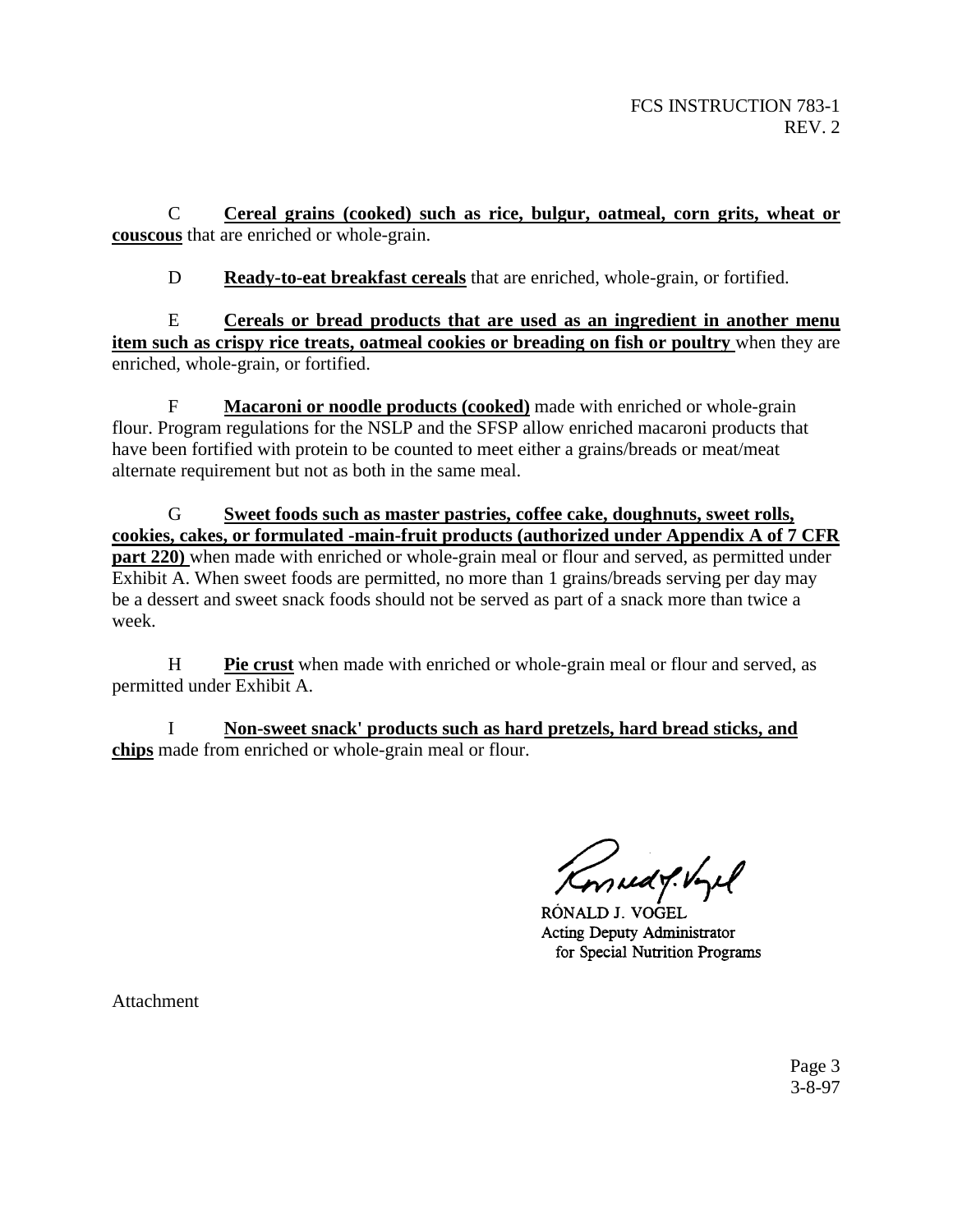C **Cereal grains (cooked) such as rice, bulgur, oatmeal, corn grits, wheat or couscous** that are enriched or whole-grain.

D **Ready-to-eat breakfast cereals** that are enriched, whole-grain, or fortified.

E **Cereals or bread products that are used as an ingredient in another menu item such as crispy rice treats, oatmeal cookies or breading on fish or poultry** when they are enriched, whole-grain, or fortified.

F **Macaroni or noodle products (cooked)** made with enriched or whole-grain flour. Program regulations for the NSLP and the SFSP allow enriched macaroni products that have been fortified with protein to be counted to meet either a grains/breads or meat/meat alternate requirement but not as both in the same meal.

G **Sweet foods such as master pastries, coffee cake, doughnuts, sweet rolls, cookies, cakes, or formulated -main-fruit products (authorized under Appendix A of 7 CFR part 220**) when made with enriched or whole-grain meal or flour and served, as permitted under Exhibit A. When sweet foods are permitted, no more than 1 grains/breads serving per day may be a dessert and sweet snack foods should not be served as part of a snack more than twice a week.

H **Pie crust** when made with enriched or whole-grain meal or flour and served, as permitted under Exhibit A.

I **Non-sweet snack' products such as hard pretzels, hard bread sticks, and chips** made from enriched or whole-grain meal or flour.

mudit byel

RÓNALD J. VOGEL **Acting Deputy Administrator** for Special Nutrition Programs

Attachment

Page 3 3-8-97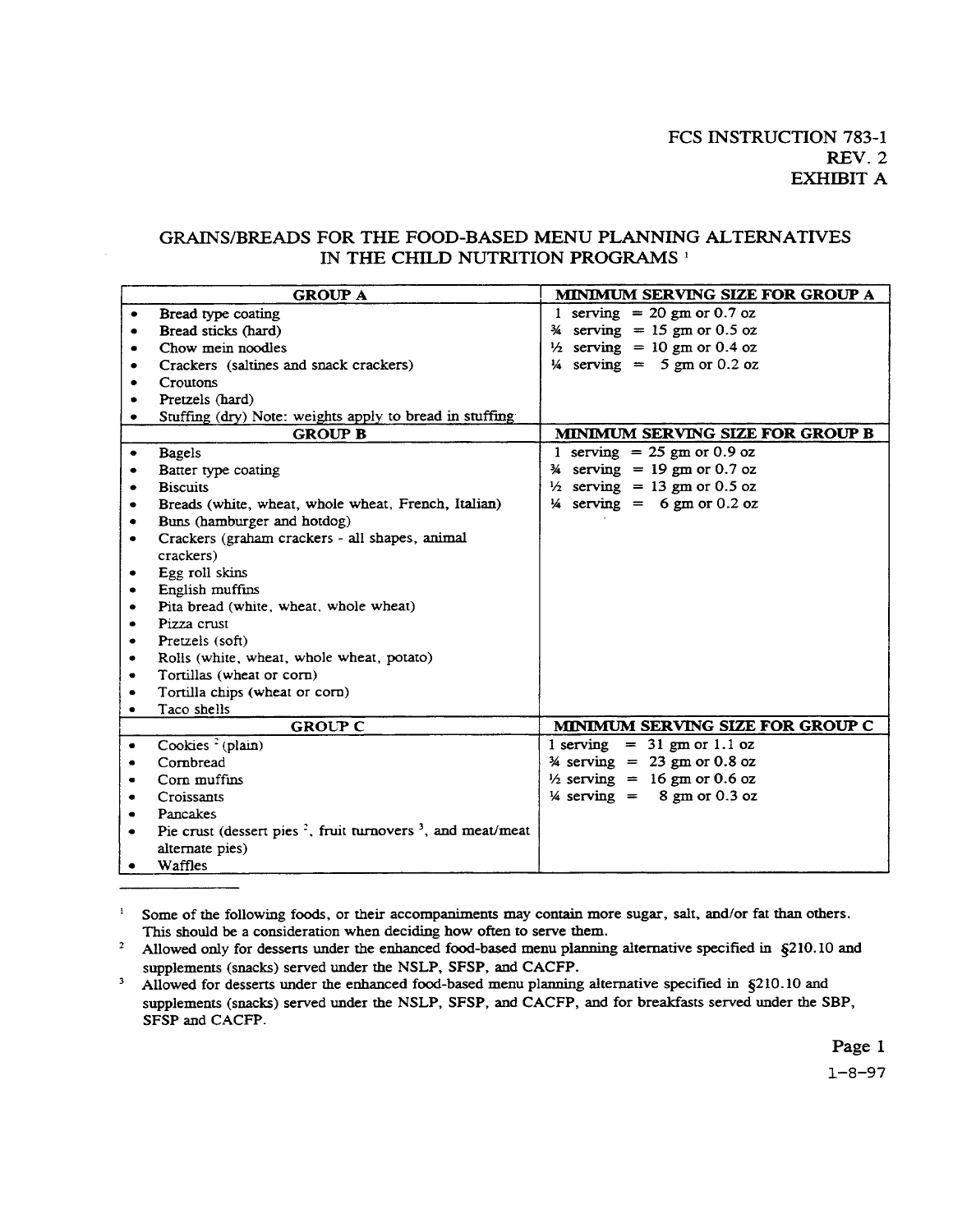#### GRAINS/BREADS FOR THE FOOD-BASED MENU PLANNING ALTERNATIVES IN THE CHILD NUTRITION PROGRAMS<sup>1</sup>

| <b>GROUP A</b> |                                                                                                  | MINIMUM SERVING SIZE FOR GROUP A        |
|----------------|--------------------------------------------------------------------------------------------------|-----------------------------------------|
|                | Bread type coating                                                                               | 1 serving $= 20$ gm or 0.7 oz           |
|                | Bread sticks (hard)                                                                              | $\frac{3}{4}$ serving = 15 gm or 0.5 oz |
| ۰              | Chow mein noodles                                                                                | $\frac{1}{2}$ serving = 10 gm or 0.4 oz |
|                | Crackers (saltines and snack crackers)                                                           | $\frac{1}{4}$ serving = 5 gm or 0.2 oz  |
|                | Croutons                                                                                         |                                         |
| ٠              | Pretzels (hard)                                                                                  |                                         |
|                | Stuffing (dry) Note: weights apply to bread in stuffing                                          |                                         |
|                | <b>GROUP B</b>                                                                                   | MINIMUM SERVING SIZE FOR GROUP B        |
|                | <b>Bagels</b>                                                                                    | 1 serving $= 25$ gm or 0.9 oz           |
|                | Batter type coating                                                                              | $\frac{3}{4}$ serving = 19 gm or 0.7 oz |
| ٠              | <b>Biscuits</b>                                                                                  | $\frac{1}{2}$ serving = 13 gm or 0.5 oz |
|                | Breads (white, wheat, whole wheat, French, Italian)                                              | $\frac{1}{4}$ serving = 6 gm or 0.2 oz  |
| ٠              | Buns (hamburger and hotdog)                                                                      |                                         |
| ۰              | Crackers (graham crackers - all shapes, animal                                                   |                                         |
|                | crackers)                                                                                        |                                         |
| ٠              | Egg roll skins                                                                                   |                                         |
| ٠              | English muffins                                                                                  |                                         |
| ٠              | Pita bread (white, wheat, whole wheat)                                                           |                                         |
|                | Pizza crust                                                                                      |                                         |
| ٠              | Pretzels (soft)                                                                                  |                                         |
| ٠              | Rolls (white, wheat, whole wheat, potato)                                                        |                                         |
| ٠              | Tortillas (wheat or corn)                                                                        |                                         |
| ٠              | Tortilla chips (wheat or corn)                                                                   |                                         |
| $\bullet$      | Taco shells                                                                                      |                                         |
|                | <b>GROUP C</b>                                                                                   | MINIMUM SERVING SIZE FOR GROUP C        |
| $\bullet$      | Cookies $2$ (plain)                                                                              | $1$ serving = 31 gm or 1.1 oz           |
| ۰              | Cornbread                                                                                        | $\frac{3}{4}$ serving = 23 gm or 0.8 oz |
| $\bullet$      | Corn muffins                                                                                     | $\frac{1}{2}$ serving = 16 gm or 0.6 oz |
| ٠              | Croissants                                                                                       | $\frac{1}{4}$ serving = 8 gm or 0.3 oz  |
| ۰              | Pancakes                                                                                         |                                         |
| ٠              | Pie crust (dessert pies <sup><math>2</math></sup> , fruit turnovers <sup>3</sup> , and meat/meat |                                         |
|                | alternate pies)                                                                                  |                                         |
| ٠              | Waffles                                                                                          |                                         |

<sup>1</sup> Some of the following foods, or their accompaniments may contain more sugar, salt, and/or fat than others. This should be a consideration when deciding how often to serve them.

<sup>2</sup> Allowed only for desserts under the enhanced food-based menu planning alternative specified in  $\S$ 210.10 and supplements (snacks) served under the NSLP, SFSP, and CACFP.

<sup>3</sup> Allowed for desserts under the enhanced food-based menu planning alternative specified in  $\zeta$ 210.10 and supplements (snacks) served under the NSLP, SFSP, and CACFP, and for breakfasts served under the SBP, SFSP and CACFP.

Page 1

 $1 - 8 - 97$